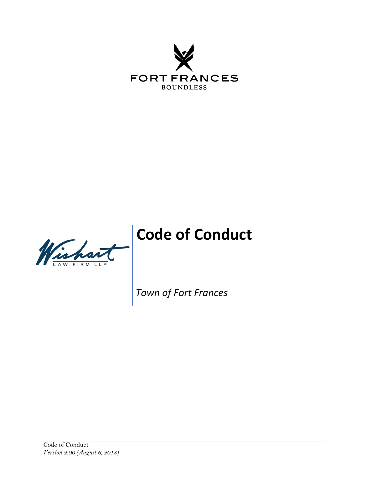

# **Code of Conduct**



*Town of Fort Frances*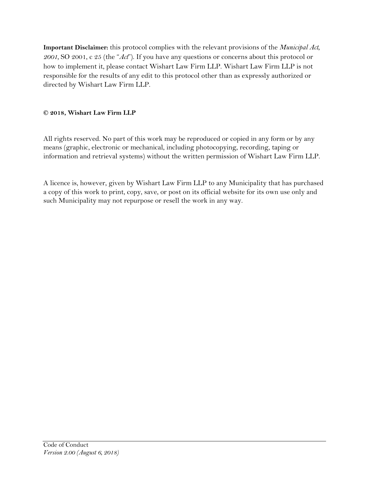**Important Disclaimer:** this protocol complies with the relevant provisions of the *Municipal Act, 2001,* SO 2001, c 25 (the "*Act*"). If you have any questions or concerns about this protocol or how to implement it, please contact Wishart Law Firm LLP. Wishart Law Firm LLP is not responsible for the results of any edit to this protocol other than as expressly authorized or directed by Wishart Law Firm LLP.

#### **© 2018, Wishart Law Firm LLP**

All rights reserved. No part of this work may be reproduced or copied in any form or by any means (graphic, electronic or mechanical, including photocopying, recording, taping or information and retrieval systems) without the written permission of Wishart Law Firm LLP.

A licence is, however, given by Wishart Law Firm LLP to any Municipality that has purchased a copy of this work to print, copy, save, or post on its official website for its own use only and such Municipality may not repurpose or resell the work in any way.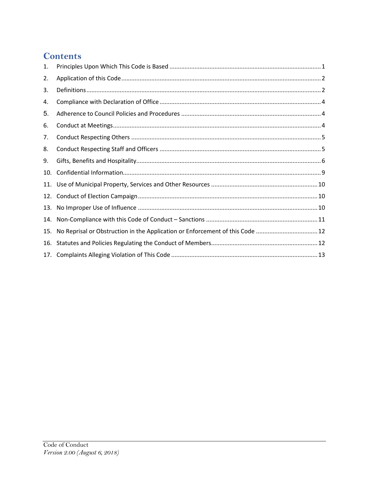#### **Contents**

| 1.  |                                                                              |
|-----|------------------------------------------------------------------------------|
| 2.  |                                                                              |
| 3.  |                                                                              |
| 4.  |                                                                              |
| 5.  |                                                                              |
| 6.  |                                                                              |
| 7.  |                                                                              |
| 8.  |                                                                              |
| 9.  |                                                                              |
| 10. |                                                                              |
| 11. |                                                                              |
| 12. |                                                                              |
| 13. |                                                                              |
| 14. |                                                                              |
| 15. | No Reprisal or Obstruction in the Application or Enforcement of this Code 12 |
| 16. |                                                                              |
|     |                                                                              |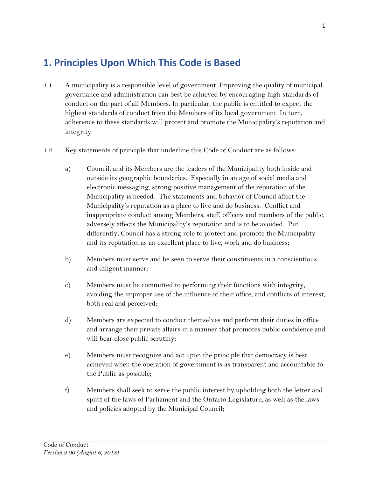## <span id="page-3-0"></span>**1. Principles Upon Which This Code is Based**

- 1.1 A municipality is a responsible level of government. Improving the quality of municipal governance and administration can best be achieved by encouraging high standards of conduct on the part of all Members. In particular, the public is entitled to expect the highest standards of conduct from the Members of its local government. In turn, adherence to these standards will protect and promote the Municipality's reputation and integrity.
- 1.2 Key statements of principle that underline this Code of Conduct are as follows:
	- a) Council, and its Members are the leaders of the Municipality both inside and outside its geographic boundaries. Especially in an age of social media and electronic messaging, strong positive management of the reputation of the Municipality is needed. The statements and behavior of Council affect the Municipality's reputation as a place to live and do business. Conflict and inappropriate conduct among Members, staff, officers and members of the public, adversely affects the Municipality's reputation and is to be avoided. Put differently, Council has a strong role to protect and promote the Municipality and its reputation as an excellent place to live, work and do business;
	- b) Members must serve and be seen to serve their constituents in a conscientious and diligent manner;
	- c) Members must be committed to performing their functions with integrity, avoiding the improper use of the influence of their office, and conflicts of interest, both real and perceived;
	- d) Members are expected to conduct themselves and perform their duties in office and arrange their private affairs in a manner that promotes public confidence and will bear close public scrutiny;
	- e) Members must recognize and act upon the principle that democracy is best achieved when the operation of government is as transparent and accountable to the Public as possible;
	- f) Members shall seek to serve the public interest by upholding both the letter and spirit of the laws of Parliament and the Ontario Legislature, as well as the laws and policies adopted by the Municipal Council;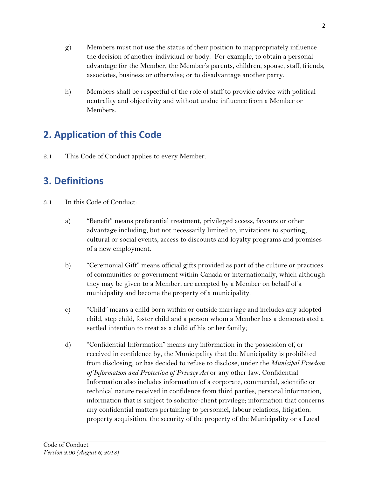- g) Members must not use the status of their position to inappropriately influence the decision of another individual or body. For example, to obtain a personal advantage for the Member, the Member's parents, children, spouse, staff, friends, associates, business or otherwise; or to disadvantage another party.
- h) Members shall be respectful of the role of staff to provide advice with political neutrality and objectivity and without undue influence from a Member or Members.

# <span id="page-4-0"></span>**2. Application of this Code**

<span id="page-4-1"></span>2.1 This Code of Conduct applies to every Member.

# **3. Definitions**

- 3.1 In this Code of Conduct:
	- a) "Benefit" means preferential treatment, privileged access, favours or other advantage including, but not necessarily limited to, invitations to sporting, cultural or social events, access to discounts and loyalty programs and promises of a new employment.
	- b) "Ceremonial Gift" means official gifts provided as part of the culture or practices of communities or government within Canada or internationally, which although they may be given to a Member, are accepted by a Member on behalf of a municipality and become the property of a municipality.
	- c) "Child" means a child born within or outside marriage and includes any adopted child, step child, foster child and a person whom a Member has a demonstrated a settled intention to treat as a child of his or her family;
	- d) "Confidential Information" means any information in the possession of, or received in confidence by, the Municipality that the Municipality is prohibited from disclosing, or has decided to refuse to disclose, under the *Municipal Freedom of Information and Protection of Privacy Act* or any other law. Confidential Information also includes information of a corporate, commercial, scientific or technical nature received in confidence from third parties; personal information; information that is subject to solicitor-client privilege; information that concerns any confidential matters pertaining to personnel, labour relations, litigation, property acquisition, the security of the property of the Municipality or a Local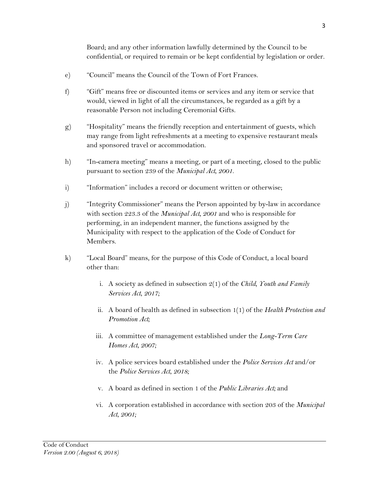Board; and any other information lawfully determined by the Council to be confidential, or required to remain or be kept confidential by legislation or order.

- e) "Council" means the Council of the Town of Fort Frances.
- f) "Gift" means free or discounted items or services and any item or service that would, viewed in light of all the circumstances, be regarded as a gift by a reasonable Person not including Ceremonial Gifts.
- g) "Hospitality" means the friendly reception and entertainment of guests, which may range from light refreshments at a meeting to expensive restaurant meals and sponsored travel or accommodation.
- h) "In-camera meeting" means a meeting, or part of a meeting, closed to the public pursuant to section 239 of the *Municipal Act, 2001*.
- i) "Information" includes a record or document written or otherwise;
- j) "Integrity Commissioner" means the Person appointed by by-law in accordance with section 223.3 of the *Municipal Act, 2001* and who is responsible for performing, in an independent manner, the functions assigned by the Municipality with respect to the application of the Code of Conduct for Members.
- k) "Local Board" means, for the purpose of this Code of Conduct, a local board other than:
	- i. A society as defined in subsection 2(1) of the *Child, Youth and Family Services Act, 2017;*
	- ii. A board of health as defined in subsection 1(1) of the *Health Protection and Promotion Act;*
	- iii. A committee of management established under the *Long-Term Care Homes Act, 2007;*
	- iv. A police services board established under the *Police Services Act* and/or the *Police Services Act, 2018;*
	- v. A board as defined in section 1 of the *Public Libraries Act;* and
	- vi. A corporation established in accordance with section 203 of the *Municipal Act, 2001;*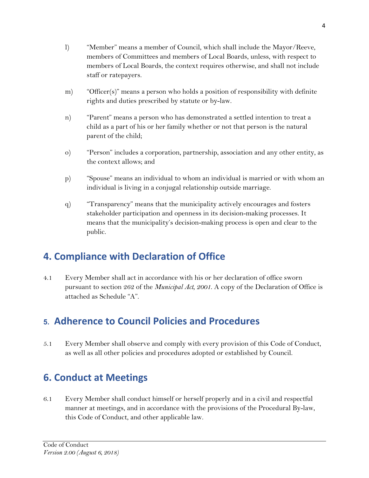- l) "Member" means a member of Council, which shall include the Mayor/Reeve, members of Committees and members of Local Boards, unless, with respect to members of Local Boards, the context requires otherwise, and shall not include staff or ratepayers.
- m) "Officer(s)" means a person who holds a position of responsibility with definite rights and duties prescribed by statute or by-law.
- n) "Parent" means a person who has demonstrated a settled intention to treat a child as a part of his or her family whether or not that person is the natural parent of the child;
- o) "Person" includes a corporation, partnership, association and any other entity, as the context allows; and
- p) "Spouse" means an individual to whom an individual is married or with whom an individual is living in a conjugal relationship outside marriage.
- q) "Transparency" means that the municipality actively encourages and fosters stakeholder participation and openness in its decision-making processes. It means that the municipality's decision-making process is open and clear to the public.

## <span id="page-6-0"></span>**4. Compliance with Declaration of Office**

4.1 Every Member shall act in accordance with his or her declaration of office sworn pursuant to section 262 of the *Municipal Act, 2001*. A copy of the Declaration of Office is attached as Schedule "A".

#### <span id="page-6-1"></span>**5. Adherence to Council Policies and Procedures**

5.1 Every Member shall observe and comply with every provision of this Code of Conduct, as well as all other policies and procedures adopted or established by Council.

## <span id="page-6-2"></span>**6. Conduct at Meetings**

6.1 Every Member shall conduct himself or herself properly and in a civil and respectful manner at meetings, and in accordance with the provisions of the Procedural By-law, this Code of Conduct, and other applicable law.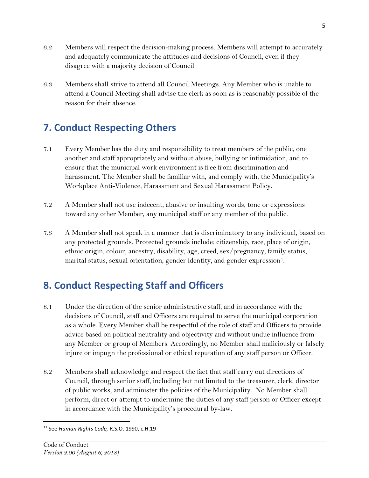- 6.2 Members will respect the decision-making process. Members will attempt to accurately and adequately communicate the attitudes and decisions of Council, even if they disagree with a majority decision of Council.
- 6.3 Members shall strive to attend all Council Meetings. Any Member who is unable to attend a Council Meeting shall advise the clerk as soon as is reasonably possible of the reason for their absence.

# <span id="page-7-0"></span>**7. Conduct Respecting Others**

- 7.1 Every Member has the duty and responsibility to treat members of the public, one another and staff appropriately and without abuse, bullying or intimidation, and to ensure that the municipal work environment is free from discrimination and harassment. The Member shall be familiar with, and comply with, the Municipality's Workplace Anti-Violence, Harassment and Sexual Harassment Policy.
- 7.2 A Member shall not use indecent, abusive or insulting words, tone or expressions toward any other Member, any municipal staff or any member of the public.
- 7.3 A Member shall not speak in a manner that is discriminatory to any individual, based on any protected grounds. Protected grounds include: citizenship, race, place of origin, ethnic origin, colour, ancestry, disability, age, creed, sex/pregnancy, family status, marital status, sexual orientation, gender identity, and gender expression<sup>[1](#page-7-2)</sup>.

# <span id="page-7-1"></span>**8. Conduct Respecting Staff and Officers**

- 8.1 Under the direction of the senior administrative staff, and in accordance with the decisions of Council, staff and Officers are required to serve the municipal corporation as a whole. Every Member shall be respectful of the role of staff and Officers to provide advice based on political neutrality and objectivity and without undue influence from any Member or group of Members. Accordingly, no Member shall maliciously or falsely injure or impugn the professional or ethical reputation of any staff person or Officer.
- 8.2 Members shall acknowledge and respect the fact that staff carry out directions of Council, through senior staff, including but not limited to the treasurer, clerk, director of public works, and administer the policies of the Municipality. No Member shall perform, direct or attempt to undermine the duties of any staff person or Officer except in accordance with the Municipality's procedural by-law.

<span id="page-7-2"></span> <sup>11</sup> See *Human Rights Code,* R.S.O. 1990, c.H.19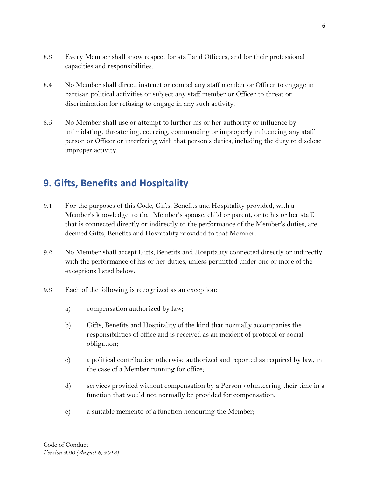- 8.3 Every Member shall show respect for staff and Officers, and for their professional capacities and responsibilities.
- 8.4 No Member shall direct, instruct or compel any staff member or Officer to engage in partisan political activities or subject any staff member or Officer to threat or discrimination for refusing to engage in any such activity.
- 8.5 No Member shall use or attempt to further his or her authority or influence by intimidating, threatening, coercing, commanding or improperly influencing any staff person or Officer or interfering with that person's duties, including the duty to disclose improper activity.

## <span id="page-8-0"></span>**9. Gifts, Benefits and Hospitality**

- 9.1 For the purposes of this Code, Gifts, Benefits and Hospitality provided, with a Member's knowledge, to that Member's spouse, child or parent, or to his or her staff, that is connected directly or indirectly to the performance of the Member's duties, are deemed Gifts, Benefits and Hospitality provided to that Member.
- 9.2 No Member shall accept Gifts, Benefits and Hospitality connected directly or indirectly with the performance of his or her duties, unless permitted under one or more of the exceptions listed below:
- 9.3 Each of the following is recognized as an exception:
	- a) compensation authorized by law;
	- b) Gifts, Benefits and Hospitality of the kind that normally accompanies the responsibilities of office and is received as an incident of protocol or social obligation;
	- c) a political contribution otherwise authorized and reported as required by law, in the case of a Member running for office;
	- d) services provided without compensation by a Person volunteering their time in a function that would not normally be provided for compensation;
	- e) a suitable memento of a function honouring the Member;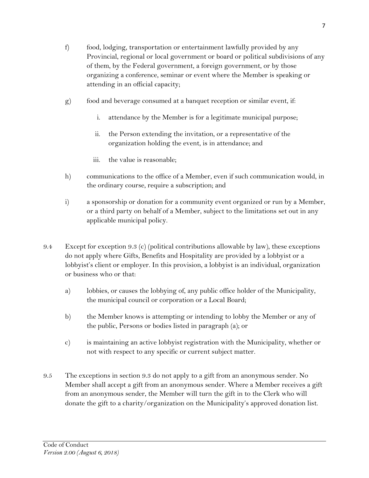- f) food, lodging, transportation or entertainment lawfully provided by any Provincial, regional or local government or board or political subdivisions of any of them, by the Federal government, a foreign government, or by those organizing a conference, seminar or event where the Member is speaking or attending in an official capacity;
- g) food and beverage consumed at a banquet reception or similar event, if:
	- i. attendance by the Member is for a legitimate municipal purpose;
	- ii. the Person extending the invitation, or a representative of the organization holding the event, is in attendance; and
	- iii. the value is reasonable;
- h) communications to the office of a Member, even if such communication would, in the ordinary course, require a subscription; and
- i) a sponsorship or donation for a community event organized or run by a Member, or a third party on behalf of a Member, subject to the limitations set out in any applicable municipal policy.
- 9.4 Except for exception 9.3 (c) (political contributions allowable by law), these exceptions do not apply where Gifts, Benefits and Hospitality are provided by a lobbyist or a lobbyist's client or employer. In this provision, a lobbyist is an individual, organization or business who or that:
	- a) lobbies, or causes the lobbying of, any public office holder of the Municipality, the municipal council or corporation or a Local Board;
	- b) the Member knows is attempting or intending to lobby the Member or any of the public, Persons or bodies listed in paragraph (a); or
	- c) is maintaining an active lobbyist registration with the Municipality, whether or not with respect to any specific or current subject matter.
- 9.5 The exceptions in section 9.3 do not apply to a gift from an anonymous sender. No Member shall accept a gift from an anonymous sender. Where a Member receives a gift from an anonymous sender, the Member will turn the gift in to the Clerk who will donate the gift to a charity/organization on the Municipality's approved donation list.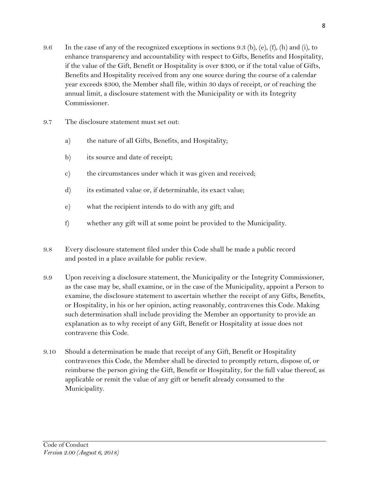- 9.6 In the case of any of the recognized exceptions in sections 9.3 (b), (e), (f), (h) and (i), to enhance transparency and accountability with respect to Gifts, Benefits and Hospitality, if the value of the Gift, Benefit or Hospitality is over \$300, or if the total value of Gifts, Benefits and Hospitality received from any one source during the course of a calendar year exceeds \$300, the Member shall file, within 30 days of receipt, or of reaching the annual limit, a disclosure statement with the Municipality or with its Integrity Commissioner.
- 9.7 The disclosure statement must set out:
	- a) the nature of all Gifts, Benefits, and Hospitality;
	- b) its source and date of receipt;
	- c) the circumstances under which it was given and received;
	- d) its estimated value or, if determinable, its exact value;
	- e) what the recipient intends to do with any gift; and
	- f) whether any gift will at some point be provided to the Municipality.
- 9.8 Every disclosure statement filed under this Code shall be made a public record and posted in a place available for public review.
- 9.9 Upon receiving a disclosure statement, the Municipality or the Integrity Commissioner, as the case may be, shall examine, or in the case of the Municipality, appoint a Person to examine, the disclosure statement to ascertain whether the receipt of any Gifts, Benefits, or Hospitality, in his or her opinion, acting reasonably, contravenes this Code. Making such determination shall include providing the Member an opportunity to provide an explanation as to why receipt of any Gift, Benefit or Hospitality at issue does not contravene this Code.
- 9.10 Should a determination be made that receipt of any Gift, Benefit or Hospitality contravenes this Code, the Member shall be directed to promptly return, dispose of, or reimburse the person giving the Gift, Benefit or Hospitality, for the full value thereof, as applicable or remit the value of any gift or benefit already consumed to the Municipality.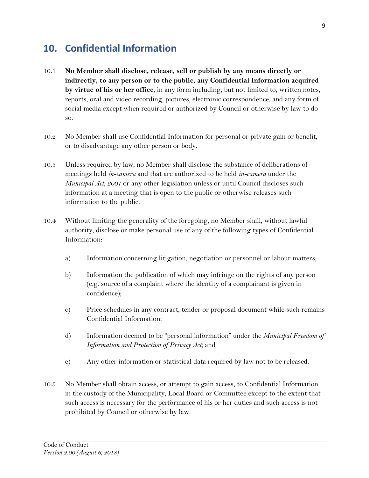#### <span id="page-11-0"></span>**10. Confidential Information**

- 10.1 **No Member shall disclose, release, sell or publish by any means directly or indirectly, to any person or to the public, any Confidential Information acquired by virtue of his or her office**, in any form including, but not limited to, written notes, reports, oral and video recording, pictures, electronic correspondence, and any form of social media except when required or authorized by Council or otherwise by law to do so.
- 10.2 No Member shall use Confidential Information for personal or private gain or benefit, or to disadvantage any other person or body.
- 10.3 Unless required by law, no Member shall disclose the substance of deliberations of meetings held *in-camera* and that are authorized to be held *in-camera* under the *Municipal Act, 2001* or any other legislation unless or until Council discloses such information at a meeting that is open to the public or otherwise releases such information to the public.
- 10.4 Without limiting the generality of the foregoing, no Member shall, without lawful authority, disclose or make personal use of any of the following types of Confidential Information:
	- a) Information concerning litigation, negotiation or personnel or labour matters;
	- b) Information the publication of which may infringe on the rights of any person (e.g. source of a complaint where the identity of a complainant is given in confidence);
	- c) Price schedules in any contract, tender or proposal document while such remains Confidential Information;
	- d) Information deemed to be "personal information" under the *Municipal Freedom of Information and Protection of Privacy Act*; and
	- e) Any other information or statistical data required by law not to be released.
- 10.5 No Member shall obtain access, or attempt to gain access, to Confidential Information in the custody of the Municipality, Local Board or Committee except to the extent that such access is necessary for the performance of his or her duties and such access is not prohibited by Council or otherwise by law.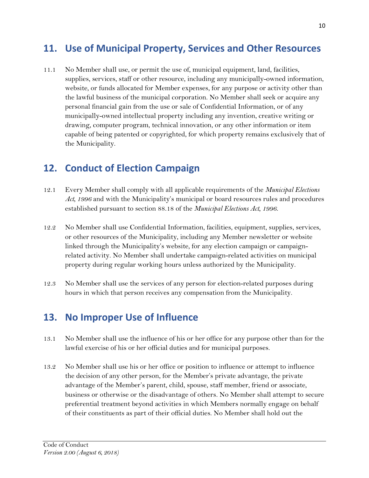#### <span id="page-12-0"></span>**11. Use of Municipal Property, Services and Other Resources**

11.1 No Member shall use, or permit the use of, municipal equipment, land, facilities, supplies, services, staff or other resource, including any municipally-owned information, website, or funds allocated for Member expenses, for any purpose or activity other than the lawful business of the municipal corporation. No Member shall seek or acquire any personal financial gain from the use or sale of Confidential Information, or of any municipally-owned intellectual property including any invention, creative writing or drawing, computer program, technical innovation, or any other information or item capable of being patented or copyrighted, for which property remains exclusively that of the Municipality.

#### <span id="page-12-1"></span>**12. Conduct of Election Campaign**

- 12.1 Every Member shall comply with all applicable requirements of the *Municipal Elections Act, 1996* and with the Municipality's municipal or board resources rules and procedures established pursuant to section 88.18 of the *Municipal Elections Act, 1996.*
- 12.2 No Member shall use Confidential Information, facilities, equipment, supplies, services, or other resources of the Municipality, including any Member newsletter or website linked through the Municipality's website, for any election campaign or campaignrelated activity. No Member shall undertake campaign-related activities on municipal property during regular working hours unless authorized by the Municipality.
- 12.3 No Member shall use the services of any person for election-related purposes during hours in which that person receives any compensation from the Municipality.

#### <span id="page-12-2"></span>**13. No Improper Use of Influence**

- 13.1 No Member shall use the influence of his or her office for any purpose other than for the lawful exercise of his or her official duties and for municipal purposes.
- 13.2 No Member shall use his or her office or position to influence or attempt to influence the decision of any other person, for the Member's private advantage, the private advantage of the Member's parent, child, spouse, staff member, friend or associate, business or otherwise or the disadvantage of others. No Member shall attempt to secure preferential treatment beyond activities in which Members normally engage on behalf of their constituents as part of their official duties. No Member shall hold out the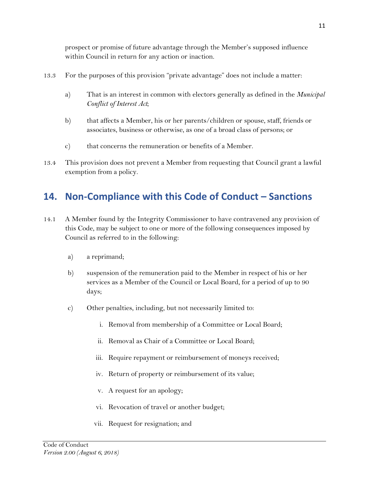prospect or promise of future advantage through the Member's supposed influence within Council in return for any action or inaction.

- 13.3 For the purposes of this provision "private advantage" does not include a matter:
	- a) That is an interest in common with electors generally as defined in the *Municipal Conflict of Interest Act*;
	- b) that affects a Member, his or her parents/children or spouse, staff, friends or associates, business or otherwise, as one of a broad class of persons; or
	- c) that concerns the remuneration or benefits of a Member.
- 13.4 This provision does not prevent a Member from requesting that Council grant a lawful exemption from a policy.

# <span id="page-13-0"></span>**14. Non-Compliance with this Code of Conduct – Sanctions**

- 14.1 A Member found by the Integrity Commissioner to have contravened any provision of this Code, may be subject to one or more of the following consequences imposed by Council as referred to in the following:
	- a) a reprimand;
	- b) suspension of the remuneration paid to the Member in respect of his or her services as a Member of the Council or Local Board, for a period of up to 90 days;
	- c) Other penalties, including, but not necessarily limited to:
		- i. Removal from membership of a Committee or Local Board;
		- ii. Removal as Chair of a Committee or Local Board;
		- iii. Require repayment or reimbursement of moneys received;
		- iv. Return of property or reimbursement of its value;
		- v. A request for an apology;
		- vi. Revocation of travel or another budget;
		- vii. Request for resignation; and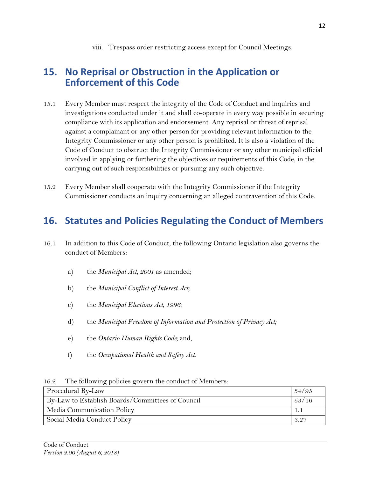#### <span id="page-14-0"></span>**15. No Reprisal or Obstruction in the Application or Enforcement of this Code**

- 15.1 Every Member must respect the integrity of the Code of Conduct and inquiries and investigations conducted under it and shall co-operate in every way possible in securing compliance with its application and endorsement. Any reprisal or threat of reprisal against a complainant or any other person for providing relevant information to the Integrity Commissioner or any other person is prohibited. It is also a violation of the Code of Conduct to obstruct the Integrity Commissioner or any other municipal official involved in applying or furthering the objectives or requirements of this Code, in the carrying out of such responsibilities or pursuing any such objective.
- 15.2 Every Member shall cooperate with the Integrity Commissioner if the Integrity Commissioner conducts an inquiry concerning an alleged contravention of this Code.

#### <span id="page-14-1"></span>**16. Statutes and Policies Regulating the Conduct of Members**

- 16.1 In addition to this Code of Conduct, the following Ontario legislation also governs the conduct of Members:
	- a) the *Municipal Act, 2001* as amended;
	- b) the *Municipal Conflict of Interest Act;*
	- c) the *Municipal Elections Act, 1996*;
	- d) the *Municipal Freedom of Information and Protection of Privacy Act;*
	- e) the *Ontario Human Rights Code;* and,
	- f) the *Occupational Health and Safety Act.*

16.2 The following policies govern the conduct of Members:

| Procedural By-Law                                | 34/95 |
|--------------------------------------------------|-------|
| By-Law to Establish Boards/Committees of Council | 53/16 |
| Media Communication Policy                       |       |
| Social Media Conduct Policy                      | 3.27  |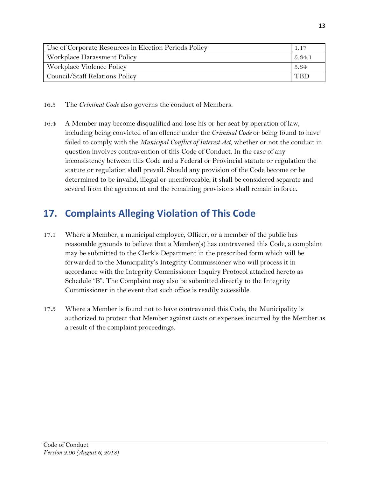| Use of Corporate Resources in Election Periods Policy |        |
|-------------------------------------------------------|--------|
| Workplace Harassment Policy                           | 5.34.1 |
| Workplace Violence Policy                             | 5.34   |
| Council/Staff Relations Policy                        | TRD    |

- 16.3 The *Criminal Code* also governs the conduct of Members.
- 16.4 A Member may become disqualified and lose his or her seat by operation of law, including being convicted of an offence under the *Criminal Code* or being found to have failed to comply with the *Municipal Conflict of Interest Act*, whether or not the conduct in question involves contravention of this Code of Conduct. In the case of any inconsistency between this Code and a Federal or Provincial statute or regulation the statute or regulation shall prevail. Should any provision of the Code become or be determined to be invalid, illegal or unenforceable, it shall be considered separate and several from the agreement and the remaining provisions shall remain in force.

## <span id="page-15-0"></span>**17. Complaints Alleging Violation of This Code**

- 17.1 Where a Member, a municipal employee, Officer, or a member of the public has reasonable grounds to believe that a Member(s) has contravened this Code, a complaint may be submitted to the Clerk's Department in the prescribed form which will be forwarded to the Municipality's Integrity Commissioner who will process it in accordance with the Integrity Commissioner Inquiry Protocol attached hereto as Schedule "B". The Complaint may also be submitted directly to the Integrity Commissioner in the event that such office is readily accessible.
- 17.3 Where a Member is found not to have contravened this Code, the Municipality is authorized to protect that Member against costs or expenses incurred by the Member as a result of the complaint proceedings.